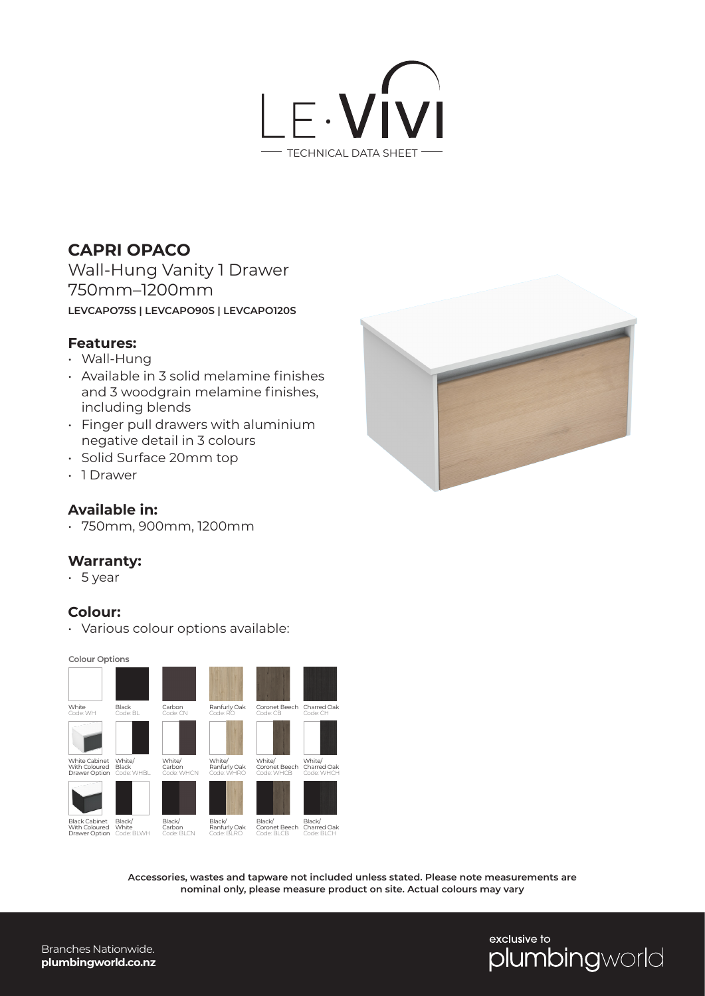

## **CAPRI OPACO**

Wall-Hung Vanity 1 Drawer 750mm–1200mm **LEVCAPO75S | LEVCAPO90S | LEVCAPO120S**

#### **Features:**

- Wall-Hung
- Available in 3 solid melamine finishes and 3 woodgrain melamine finishes, including blends
- Finger pull drawers with aluminium negative detail in 3 colours
- Solid Surface 20mm top
- 1 Drawer

### **Available in:**

• 750mm, 900mm, 1200mm

#### **Warranty:**

• 5 year

#### **Colour:**

• Various colour options available:

**Colour Options**



**Accessories, wastes and tapware not included unless stated. Please note measurements are nominal only, please measure product on site. Actual colours may vary**